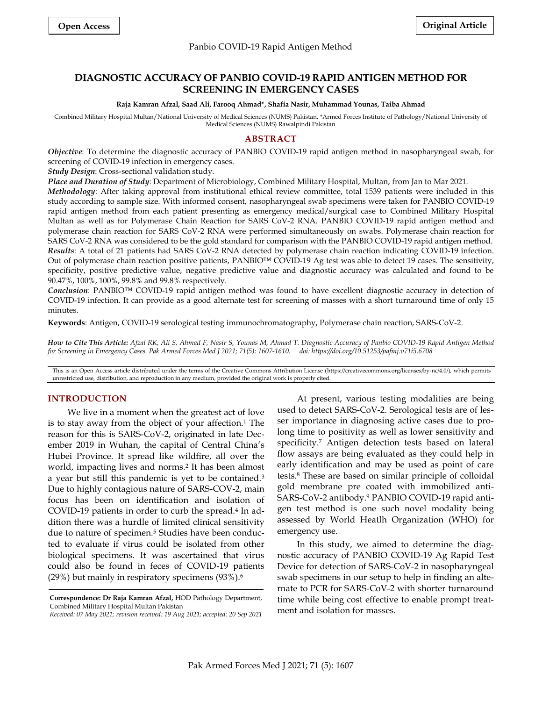# Panbio COVID-19 Rapid Antigen Method

# **DIAGNOSTIC ACCURACY OF PANBIO COVID-19 RAPID ANTIGEN METHOD FOR SCREENING IN EMERGENCY CASES**

#### **Raja Kamran Afzal, Saad Ali, Farooq Ahmad\*, Shafia Nasir, Muhammad Younas, Taiba Ahmad**

Combined Military Hospital Multan/National University of Medical Sciences (NUMS) Pakistan, \*Armed Forces Institute of Pathology/National University of Medical Sciences (NUMS) Rawalpindi Pakistan

# **ABSTRACT**

*Objective*: To determine the diagnostic accuracy of PANBIO COVID-19 rapid antigen method in nasopharyngeal swab, for screening of COVID-19 infection in emergency cases.

*Study Design*: Cross-sectional validation study.

*Place and Duration of Study*: Department of Microbiology, Combined Military Hospital, Multan, from Jan to Mar 2021.

*Methodology*: After taking approval from institutional ethical review committee, total 1539 patients were included in this study according to sample size. With informed consent, nasopharyngeal swab specimens were taken for PANBIO COVID-19 rapid antigen method from each patient presenting as emergency medical/surgical case to Combined Military Hospital Multan as well as for Polymerase Chain Reaction for SARS CoV-2 RNA. PANBIO COVID-19 rapid antigen method and polymerase chain reaction for SARS CoV-2 RNA were performed simultaneously on swabs. Polymerase chain reaction for SARS CoV-2 RNA was considered to be the gold standard for comparison with the PANBIO COVID-19 rapid antigen method. *Results*: A total of 21 patients had SARS CoV-2 RNA detected by polymerase chain reaction indicating COVID-19 infection. Out of polymerase chain reaction positive patients, PANBIO™ COVID-19 Ag test was able to detect 19 cases. The sensitivity, specificity, positive predictive value, negative predictive value and diagnostic accuracy was calculated and found to be 90.47%, 100%, 100%, 99.8% and 99.8% respectively.

*Conclusion*: PANBIO™ COVID-19 rapid antigen method was found to have excellent diagnostic accuracy in detection of COVID-19 infection. It can provide as a good alternate test for screening of masses with a short turnaround time of only 15 minutes.

**Keywords**: Antigen, COVID-19 serological testing immunochromatography, Polymerase chain reaction, SARS-CoV-2.

*How to Cite This Article: Afzal RK, Ali S, Ahmad F, Nasir S, Younas M, Ahmad T. Diagnostic Accuracy of Panbio COVID-19 Rapid Antigen Method for Screening in Emergency Cases. Pak Armed Forces Med J 2021; 71(5): 1607-1610. doi: https://doi.org/10.51253/pafmj.v71i5.6708*

This is an Open Access article distributed under the terms of the Creative Commons Attribution License (https://creativecommons.org/licenses/by-nc/4.0/), which permits unrestricted use, distribution, and reproduction in any medium, provided the original work is properly cited.

# **INTRODUCTION**

We live in a moment when the greatest act of love is to stay away from the object of your affection.<sup>1</sup> The reason for this is SARS-CoV-2, originated in late December 2019 in Wuhan, the capital of Central China's Hubei Province. It spread like wildfire, all over the world, impacting lives and norms.<sup>2</sup> It has been almost a year but still this pandemic is yet to be contained.<sup>3</sup> Due to highly contagious nature of SARS-COV-2, main focus has been on identification and isolation of COVID-19 patients in order to curb the spread.<sup>4</sup> In addition there was a hurdle of limited clinical sensitivity due to nature of specimen.<sup>5</sup> Studies have been conducted to evaluate if virus could be isolated from other biological specimens. It was ascertained that virus could also be found in feces of COVID-19 patients (29%) but mainly in respiratory specimens (93%). 6

At present, various testing modalities are being used to detect SARS-CoV-2. Serological tests are of lesser importance in diagnosing active cases due to prolong time to positivity as well as lower sensitivity and specificity.<sup>7</sup> Antigen detection tests based on lateral flow assays are being evaluated as they could help in early identification and may be used as point of care tests. <sup>8</sup> These are based on similar principle of colloidal gold membrane pre coated with immobilized anti-SARS-CoV-2 antibody.<sup>9</sup> PANBIO COVID-19 rapid antigen test method is one such novel modality being assessed by World Heatlh Organization (WHO) for emergency use.

In this study, we aimed to determine the diagnostic accuracy of PANBIO COVID-19 Ag Rapid Test Device for detection of SARS-CoV-2 in nasopharyngeal swab specimens in our setup to help in finding an alternate to PCR for SARS-CoV-2 with shorter turnaround time while being cost effective to enable prompt treatment and isolation for masses.

**Correspondence: Dr Raja Kamran Afzal,** HOD Pathology Department, Combined Military Hospital Multan Pakistan

*Received: 07 May 2021; revision received: 19 Aug 2021; accepted: 20 Sep 2021*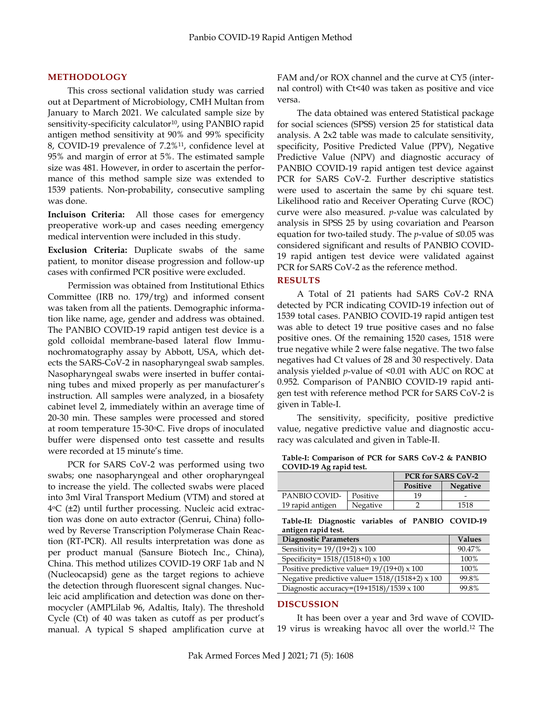# **METHODOLOGY**

This cross sectional validation study was carried out at Department of Microbiology, CMH Multan from January to March 2021. We calculated sample size by sensitivity-specificity calculator<sup>10</sup>, using PANBIO rapid antigen method sensitivity at 90% and 99% specificity 8, COVID-19 prevalence of 7.2%11, confidence level at 95% and margin of error at 5%. The estimated sample size was 481. However, in order to ascertain the performance of this method sample size was extended to 1539 patients. Non-probability, consecutive sampling was done.

**Incluison Criteria:** All those cases for emergency preoperative work-up and cases needing emergency medical intervention were included in this study.

**Exclusion Criteria:** Duplicate swabs of the same patient, to monitor disease progression and follow-up cases with confirmed PCR positive were excluded.

 Permission was obtained from Institutional Ethics Committee (IRB no. 179/trg) and informed consent was taken from all the patients. Demographic information like name, age, gender and address was obtained. The PANBIO COVID-19 rapid antigen test device is a gold colloidal membrane-based lateral flow Immunochromatography assay by Abbott, USA, which detects the SARS-CoV-2 in nasopharyngeal swab samples. Nasopharyngeal swabs were inserted in buffer containing tubes and mixed properly as per manufacturer's instruction. All samples were analyzed, in a biosafety cabinet level 2, immediately within an average time of 20-30 min. These samples were processed and stored at room temperature 15-30°C. Five drops of inoculated buffer were dispensed onto test cassette and results were recorded at 15 minute's time.

PCR for SARS CoV-2 was performed using two swabs; one nasopharyngeal and other oropharyngeal to increase the yield. The collected swabs were placed into 3ml Viral Transport Medium (VTM) and stored at 4 oC (±2) until further processing. Nucleic acid extraction was done on auto extractor (Genrui, China) followed by Reverse Transcription Polymerase Chain Reaction (RT-PCR). All results interpretation was done as per product manual (Sansure Biotech Inc., China), China. This method utilizes COVID-19 ORF 1ab and N (Nucleocapsid) gene as the target regions to achieve the detection through fluorescent signal changes. Nucleic acid amplification and detection was done on thermocycler (AMPLilab 96, Adaltis, Italy). The threshold Cycle (Ct) of 40 was taken as cutoff as per product's manual. A typical S shaped amplification curve at FAM and/or ROX channel and the curve at CY5 (internal control) with Ct<40 was taken as positive and vice versa.

The data obtained was entered Statistical package for social sciences (SPSS) version 25 for statistical data analysis. A 2x2 table was made to calculate sensitivity, specificity, Positive Predicted Value (PPV), Negative Predictive Value (NPV) and diagnostic accuracy of PANBIO COVID-19 rapid antigen test device against PCR for SARS CoV-2. Further descriptive statistics were used to ascertain the same by chi square test. Likelihood ratio and Receiver Operating Curve (ROC) curve were also measured. *p*-value was calculated by analysis in SPSS 25 by using covariation and Pearson equation for two-tailed study. The *p*-value of ≤0.05 was considered significant and results of PANBIO COVID-19 rapid antigen test device were validated against PCR for SARS CoV-2 as the reference method.

# **RESULTS**

A Total of 21 patients had SARS CoV-2 RNA detected by PCR indicating COVID-19 infection out of 1539 total cases. PANBIO COVID-19 rapid antigen test was able to detect 19 true positive cases and no false positive ones. Of the remaining 1520 cases, 1518 were true negative while 2 were false negative. The two false negatives had Ct values of 28 and 30 respectively. Data analysis yielded *p*-value of <0.01 with AUC on ROC at 0.952. Comparison of PANBIO COVID-19 rapid antigen test with reference method PCR for SARS CoV-2 is given in Table-I.

The sensitivity, specificity, positive predictive value, negative predictive value and diagnostic accuracy was calculated and given in Table-II.

|               |          | <b>PCR for SARS CoV-2</b> |                 |  |  |
|---------------|----------|---------------------------|-----------------|--|--|
|               |          | Positive                  | <b>Negative</b> |  |  |
| PANBIO COVID- | Positive | 10                        | -               |  |  |

| Table-I: Comparison of PCR for SARS CoV-2 & PANBIO |  |  |
|----------------------------------------------------|--|--|
| COVID-19 Ag rapid test.                            |  |  |

|                     | Table-II: Diagnostic variables of PANBIO COVID-19 |  |  |
|---------------------|---------------------------------------------------|--|--|
| antigen rapid test. |                                                   |  |  |

Negative 2 1518

| <b>Diagnostic Parameters</b>                      | <b>Values</b> |
|---------------------------------------------------|---------------|
| Sensitivity= $19/(19+2) \times 100$               | 90.47%        |
| Specificity= 1518/(1518+0) x 100                  | 100%          |
| Positive predictive value= $19/(19+0) \times 100$ | 100%          |
| Negative predictive value= 1518/(1518+2) x 100    | 99.8%         |
| Diagnostic accuracy=(19+1518)/1539 x 100          | 99.8%         |

#### **DISCUSSION**

19 rapid antigen

It has been over a year and 3rd wave of COVID-19 virus is wreaking havoc all over the world.<sup>12</sup> The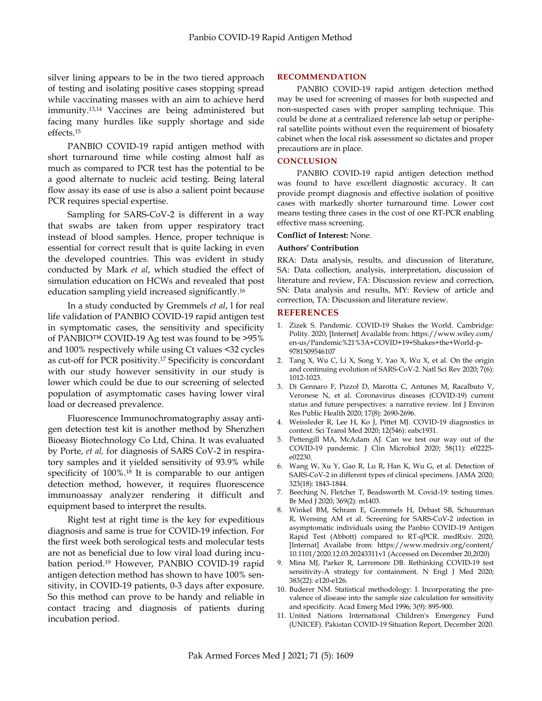silver lining appears to be in the two tiered approach of testing and isolating positive cases stopping spread while vaccinating masses with an aim to achieve herd immunity. 13,14 Vaccines are being administered but facing many hurdles like supply shortage and side effects.<sup>15</sup>

PANBIO COVID-19 rapid antigen method with short turnaround time while costing almost half as much as compared to PCR test has the potential to be a good alternate to nucleic acid testing. Being lateral flow assay its ease of use is also a salient point because PCR requires special expertise.

Sampling for SARS-CoV-2 is different in a way that swabs are taken from upper respiratory tract instead of blood samples. Hence, proper technique is essential for correct result that is quite lacking in even the developed countries. This was evident in study conducted by Mark *et al*, which studied the effect of simulation education on HCWs and revealed that post education sampling yield increased significantly. 16

In a study conducted by Gremmels *et al*, l for real life validation of PANBIO COVID-19 rapid antigen test in symptomatic cases, the sensitivity and specificity of PANBIO™ COVID-19 Ag test was found to be >95% and 100% respectively while using Ct values <32 cycles as cut-off for PCR positivity.<sup>17</sup> Specificity is concordant with our study however sensitivity in our study is lower which could be due to our screening of selected population of asymptomatic cases having lower viral load or decreased prevalence.

Fluorescence Immunochromatography assay antigen detection test kit is another method by Shenzhen Bioeasy Biotechnology Co Ltd, China. It was evaluated by Porte, *et al,* for diagnosis of SARS CoV-2 in respiratory samples and it yielded sensitivity of 93.9% while specificity of 100%.<sup>18</sup> It is comparable to our antigen detection method, however, it requires fluorescence immunoassay analyzer rendering it difficult and equipment based to interpret the results.

Right test at right time is the key for expeditious diagnosis and same is true for COVID-19 infection. For the first week both serological tests and molecular tests are not as beneficial due to low viral load during incubation period. <sup>19</sup> However, PANBIO COVID-19 rapid antigen detection method has shown to have 100% sensitivity, in COVID-19 patients, 0-3 days after exposure. So this method can prove to be handy and reliable in contact tracing and diagnosis of patients during incubation period.

# **RECOMMENDATION**

PANBIO COVID-19 rapid antigen detection method may be used for screening of masses for both suspected and non-suspected cases with proper sampling technique. This could be done at a centralized reference lab setup or peripheral satellite points without even the requirement of biosafety cabinet when the local risk assessment so dictates and proper precautions are in place.

## **CONCLUSION**

PANBIO COVID-19 rapid antigen detection method was found to have excellent diagnostic accuracy. It can provide prompt diagnosis and effective isolation of positive cases with markedly shorter turnaround time. Lower cost means testing three cases in the cost of one RT-PCR enabling effective mass screening.

#### **Conflict of Interest:** None.

# **Authors' Contribution**

RKA: Data analysis, results, and discussion of literature, SA: Data collection, analysis, interpretation, discussion of literature and review, FA: Discussion review and correction, SN: Data analysis and results, MY: Review of article and correction, TA: Discussion and literature review.

### **REFERENCES**

- 1. Zizek S. Pandemic. COVID-19 Shakes the World. Cambridge: Polity. 2020, [Internet] Available from: https://www.wiley.com/ en-us/Pandemic%21%3A+COVID+19+Shakes+the+World-p-9781509546107
- 2. Tang X, Wu C, Li X, Song Y, Yao X, Wu X, et al. On the origin and continuing evolution of SARS-CoV-2. Natl Sci Rev 2020; 7(6): 1012-1023.
- 3. Di Gennaro F, Pizzol D, Marotta C, Antunes M, Racalbuto V, Veronese N, et al. Coronavirus diseases (COVID-19) current status and future perspectives: a narrative review. Int J Environ Res Public Health 2020; 17(8): 2690-2696.
- 4. Weissleder R, Lee H, Ko J, Pittet MJ. COVID-19 diagnostics in context. Sci Transl Med 2020; 12(546): eabc1931.
- 5. Pettengill MA, McAdam AJ. Can we test our way out of the COVID-19 pandemic. J Clin Microbiol 2020; 58(11): e02225 e02230.
- 6. Wang W, Xu Y, Gao R, Lu R, Han K, Wu G, et al. Detection of SARS-CoV-2 in different types of clinical specimens. JAMA 2020; 323(18): 1843-1844.
- 7. Beeching N, Fletcher T, Beadsworth M. Covid-19: testing times. Br Med J 2020; 369(2): m1403.
- 8. Winkel BM, Schram E, Gremmels H, Debast SB, Schuurman R, Wensing AM et al. Screening for SARS-CoV-2 infection in asymptomatic individuals using the Panbio COVID-19 Antigen Rapid Test (Abbott) compared to RT-qPCR. medRxiv. 2020, [Internat] Availabe from: [https://www.medrxiv.org/content/](https://www.medrxiv.org/content/10.1101/2020.12.03.20243311v1%20(Accessed) [10.1101/2020.12.03.20243311v1 \(Accessed](https://www.medrxiv.org/content/10.1101/2020.12.03.20243311v1%20(Accessed) on December 20,2020)
- 9. Mina MJ, Parker R, Larremore DB. Rethinking COVID-19 test sensitivity-A strategy for containment. N Engl J Med 2020; 383(22): e120-e126.
- 10. Buderer NM. Statistical methodology: I. Incorporating the prevalence of disease into the sample size calculation for sensitivity and specificity. Acad Emerg Med 1996; 3(9): 895-900.
- 11. United Nations International Children's Emergency Fund (UNICEF). Pakistan COVID-19 Situation Report, December 2020.